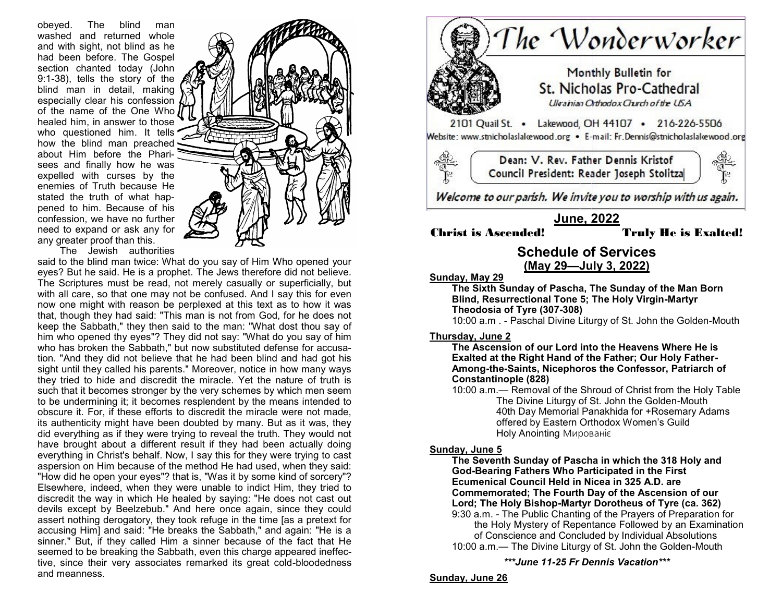obeyed. The blind man washed and returned whole and with sight, not blind as he had been before. The Gospel section chanted today (John 9:1-38), tells the story of the blind man in detail, making especially clear his confession of the name of the One Who healed him, in answer to those who questioned him. It tells how the blind man preached about Him before the Pharisees and finally how he was expelled with curses by the enemies of Truth because He stated the truth of what happened to him. Because of his confession, we have no further need to expand or ask any for any greater proof than this.



The Jewish authorities

said to the blind man twice: What do you say of Him Who opened your eyes? But he said. He is a prophet. The Jews therefore did not believe. The Scriptures must be read, not merely casually or superficially, but with all care, so that one may not be confused. And I say this for even now one might with reason be perplexed at this text as to how it was that, though they had said: "This man is not from God, for he does not keep the Sabbath," they then said to the man: "What dost thou say of him who opened thy eyes"? They did not say: "What do you say of him who has broken the Sabbath," but now substituted defense for accusation. "And they did not believe that he had been blind and had got his sight until they called his parents." Moreover, notice in how many ways they tried to hide and discredit the miracle. Yet the nature of truth is such that it becomes stronger by the very schemes by which men seem to be undermining it; it becomes resplendent by the means intended to obscure it. For, if these efforts to discredit the miracle were not made, its authenticity might have been doubted by many. But as it was, they did everything as if they were trying to reveal the truth. They would not have brought about a different result if they had been actually doing everything in Christ's behalf. Now, I say this for they were trying to cast aspersion on Him because of the method He had used, when they said: "How did he open your eyes"? that is, "Was it by some kind of sorcery"? Elsewhere, indeed, when they were unable to indict Him, they tried to discredit the way in which He healed by saying: "He does not cast out devils except by Beelzebub." And here once again, since they could assert nothing derogatory, they took refuge in the time [as a pretext for accusing Him] and said: "He breaks the Sabbath," and again: "He is a sinner." But, if they called Him a sinner because of the fact that He seemed to be breaking the Sabbath, even this charge appeared ineffective, since their very associates remarked its great cold-bloodedness and meanness.



# **Sunday, May 29**

**The Sixth Sunday of Pascha, The Sunday of the Man Born Blind, Resurrectional Tone 5; The Holy Virgin-Martyr Theodosia of Tyre (307-308)**

10:00 a.m . - Paschal Divine Liturgy of St. John the Golden-Mouth

# **Thursday, June 2**

**The Ascension of our Lord into the Heavens Where He is Exalted at the Right Hand of the Father; Our Holy Father-Among-the-Saints, Nicephoros the Confessor, Patriarch of Constantinople (828)**

10:00 a.m.— Removal of the Shroud of Christ from the Holy Table The Divine Liturgy of St. John the Golden-Mouth 40th Day Memorial Panakhida for +Rosemary Adams offered by Eastern Orthodox Women's Guild Holy Anointing Мированіє

### **Sunday, June 5**

**The Seventh Sunday of Pascha in which the 318 Holy and God-Bearing Fathers Who Participated in the First Ecumenical Council Held in Nicea in 325 A.D. are Commemorated; The Fourth Day of the Ascension of our Lord; The Holy Bishop-Martyr Dorotheus of Tyre (ca. 362)** 9:30 a.m. - The Public Chanting of the Prayers of Preparation for the Holy Mystery of Repentance Followed by an Examination

of Conscience and Concluded by Individual Absolutions 10:00 a.m.— The Divine Liturgy of St. John the Golden-Mouth

*\*\*\*June 11-25 Fr Dennis Vacation\*\*\**

# **Sunday, June 26**